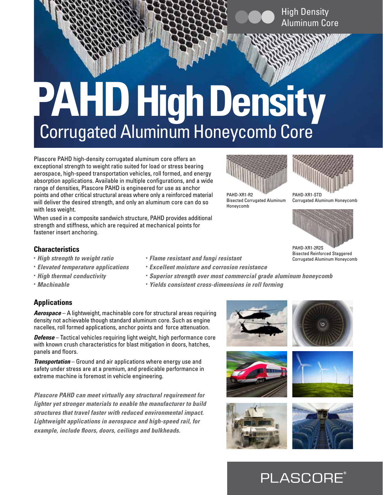# High Density Aluminum Core

# **PAHD High Density** Corrugated Aluminum Honeycomb Core

Plascore PAHD high-density corrugated aluminum core offers an exceptional strength to weight ratio suited for load or stress bearing aerospace, high-speed transportation vehicles, roll formed, and energy absorption applications. Available in multiple configurations, and a wide range of densities, Plascore PAHD is engineered for use as anchor points and other critical structural areas where only a reinforced material will deliver the desired strength, and only an aluminum core can do so with less weight.

When used in a composite sandwich structure, PAHD provides additional strength and stiffness, which are required at mechanical points for fastener insert anchoring.



Bisected Corrugated Aluminum



PAHD-XR1-STD Corrugated Aluminum Honeycomb



PAHD-XR1-2R2S Bisected Reinforced Staggered Corrugated Aluminum Honeycomb

## **Characteristics**

- *High strength to weight ratio*
- *Elevated temperature applications*
- *High thermal conductivity*
- *Machinable*
- *Flame resistant and fungi resistant*
- *Excellent moisture and corrosion resistance*
- *Superior strength over most commercial grade aluminum honeycomb*

Honeycomb

**•** *Yields consistent cross-dimensions in roll forming* 

# **Applications**

*Aerospace* – A lightweight, machinable core for structural areas requiring density not achievable though standard aluminum core. Such as engine nacelles, roll formed applications, anchor points and force attenuation.

*Defense* – Tactical vehicles requiring light weight, high performance core with known crush characteristics for blast mitigation in doors, hatches, panels and floors.

*Transportation* – Ground and air applications where energy use and safety under stress are at a premium, and predicable performance in extreme machine is foremost in vehicle engineering.

*Plascore PAHD can meet virtually any structural requirement for lighter yet stronger materials to enable the manufacturer to build structures that travel faster with reduced environmental impact. Lightweight applications in aerospace and high-speed rail, for example, include floors, doors, ceilings and bulkheads.*











# **PLASCORE**®